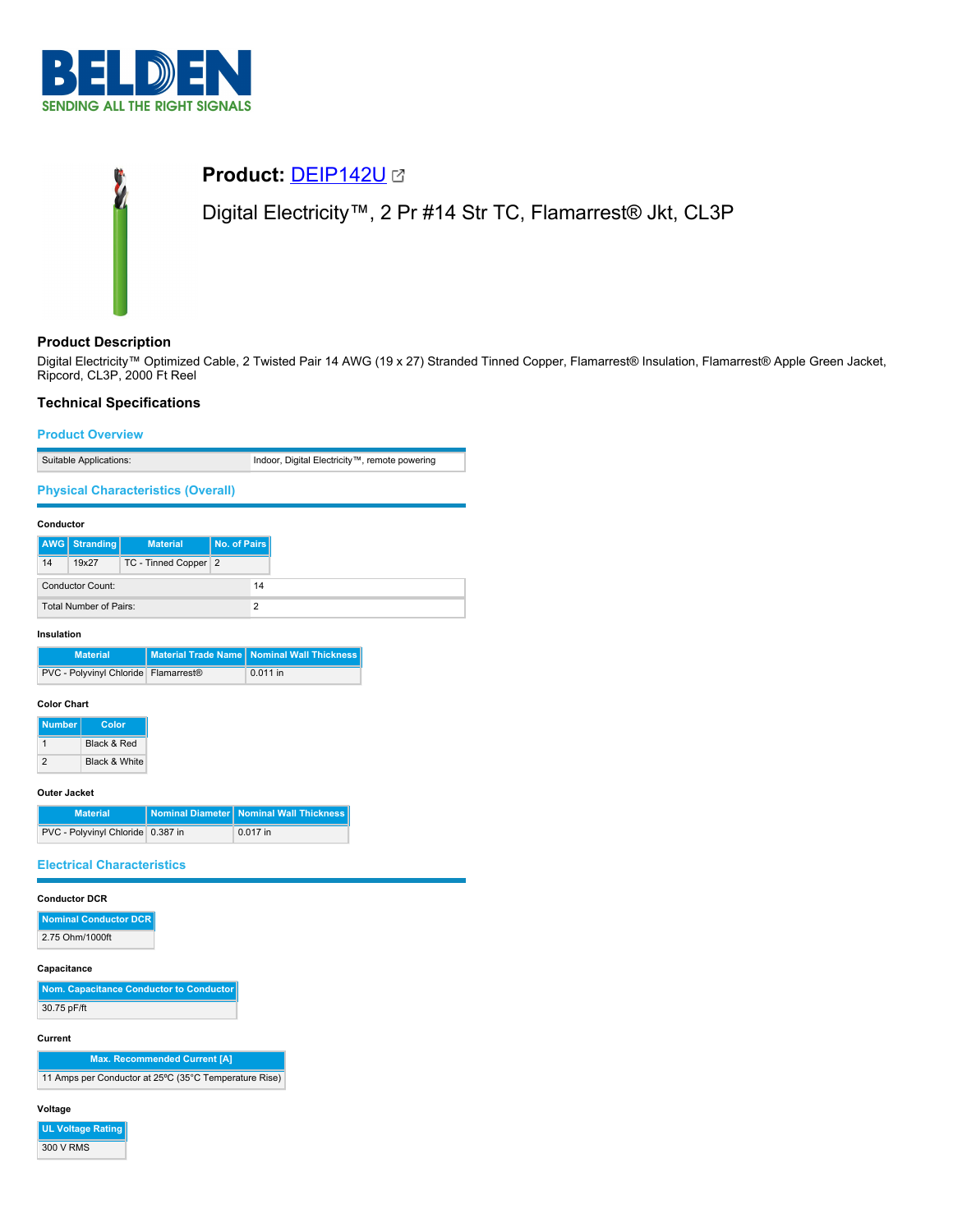

# **Product:** [DEIP142U](https://catalog.belden.com/index.cfm?event=pd&p=PF_DEIP142U&tab=downloads) Digital Electricity™, 2 Pr #14 Str TC, Flamarrest® Jkt, CL3P

# **Product Description**

Digital Electricity™ Optimized Cable, 2 Twisted Pair 14 AWG (19 x 27) Stranded Tinned Copper, Flamarrest® Insulation, Flamarrest® Apple Green Jacket, Ripcord, CL3P, 2000 Ft Reel

# **Technical Specifications**

# **Product Overview**

Suitable Applications: Indoor, Digital Electricity™, remote powering **Physical Characteristics (Overall)**

## **Conductor**

|    | AWG Stranding           | <b>Material</b>      | No. of Pairs |
|----|-------------------------|----------------------|--------------|
| 14 | 19x27                   | TC - Tinned Copper 2 |              |
|    | <b>Conductor Count:</b> |                      | 14           |
|    | Total Number of Pairs:  |                      |              |

#### **Insulation**

| <b>Material</b>                                  | Material Trade Name   Nominal Wall Thickness |
|--------------------------------------------------|----------------------------------------------|
| PVC - Polyvinyl Chloride Flamarrest <sup>®</sup> | $0.011$ in                                   |

## **Color Chart**

| <b>Number</b> | Color         |
|---------------|---------------|
|               | Black & Red   |
|               | Black & White |

## **Outer Jacket**

| <b>Material</b>                   | │ Nominal Diameter │ Nominal Wall Thickness │ |
|-----------------------------------|-----------------------------------------------|
| PVC - Polyvinyl Chloride 0.387 in | $0.017$ in                                    |

# **Electrical Characteristics**

## **Conductor DCR**

| Nominal Conductor DCR |
|-----------------------|
| 2.75 Ohm/1000ft       |

## **Capacitance**

| Nom. Capacitance Conductor to Conductor |
|-----------------------------------------|
| 30.75 pF/ft                             |

## **Current**

**Max. Recommended Current [A]**

11 Amps per Conductor at 25ºC (35°C Temperature Rise)

# **Voltage**